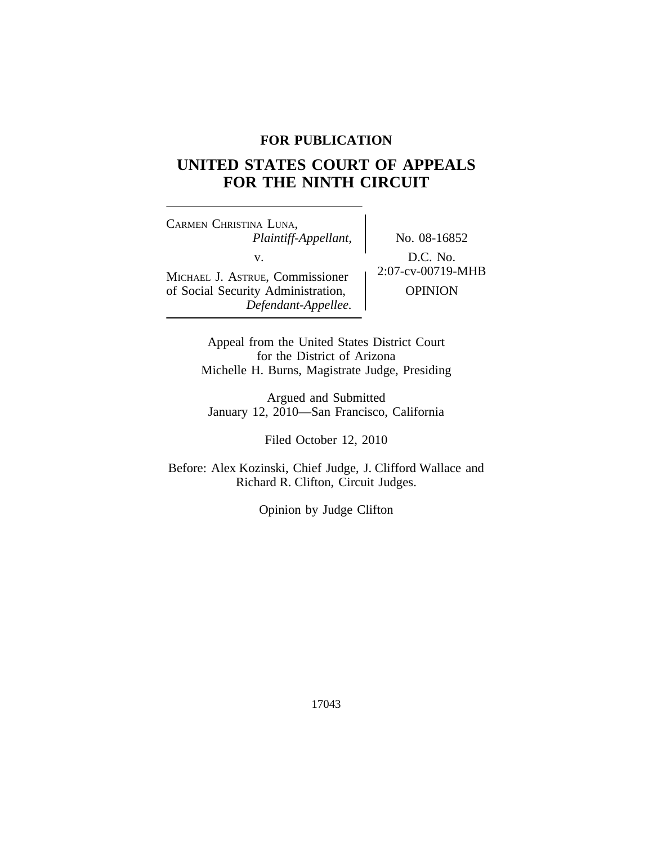## **FOR PUBLICATION**

## **UNITED STATES COURT OF APPEALS FOR THE NINTH CIRCUIT**

<sup>C</sup>ARMEN CHRISTINA LUNA, *Plaintiff-Appellant,* No. 08-16852 MICHAEL J. ASTRUE, Commissioner of Social Security Administration,  $\qquad$  OPINION *Defendant-Appellee.*

v.  $D.C. No.$ <br>Formissionar  $\left\{\n \begin{array}{c}\n 2:07-cv-00719-MHB\n \end{array}\n\right\}$ 

Appeal from the United States District Court for the District of Arizona Michelle H. Burns, Magistrate Judge, Presiding

Argued and Submitted January 12, 2010—San Francisco, California

Filed October 12, 2010

Before: Alex Kozinski, Chief Judge, J. Clifford Wallace and Richard R. Clifton, Circuit Judges.

Opinion by Judge Clifton

17043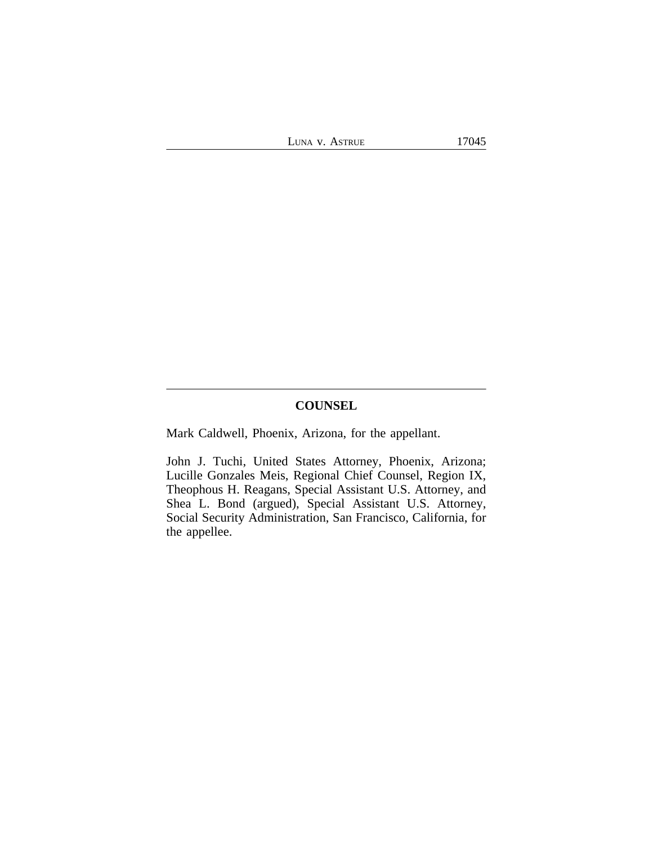# **COUNSEL**

Mark Caldwell, Phoenix, Arizona, for the appellant.

John J. Tuchi, United States Attorney, Phoenix, Arizona; Lucille Gonzales Meis, Regional Chief Counsel, Region IX, Theophous H. Reagans, Special Assistant U.S. Attorney, and Shea L. Bond (argued), Special Assistant U.S. Attorney, Social Security Administration, San Francisco, California, for the appellee.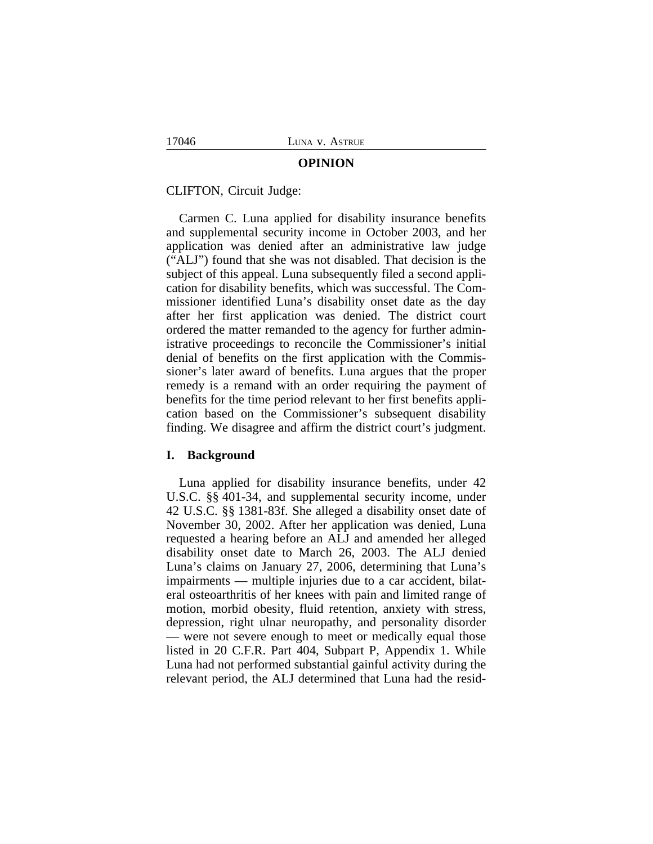#### **OPINION**

#### CLIFTON, Circuit Judge:

Carmen C. Luna applied for disability insurance benefits and supplemental security income in October 2003, and her application was denied after an administrative law judge ("ALJ") found that she was not disabled. That decision is the subject of this appeal. Luna subsequently filed a second application for disability benefits, which was successful. The Commissioner identified Luna's disability onset date as the day after her first application was denied. The district court ordered the matter remanded to the agency for further administrative proceedings to reconcile the Commissioner's initial denial of benefits on the first application with the Commissioner's later award of benefits. Luna argues that the proper remedy is a remand with an order requiring the payment of benefits for the time period relevant to her first benefits application based on the Commissioner's subsequent disability finding. We disagree and affirm the district court's judgment.

#### **I. Background**

Luna applied for disability insurance benefits, under 42 U.S.C. §§ 401-34, and supplemental security income, under 42 U.S.C. §§ 1381-83f. She alleged a disability onset date of November 30, 2002. After her application was denied, Luna requested a hearing before an ALJ and amended her alleged disability onset date to March 26, 2003. The ALJ denied Luna's claims on January 27, 2006, determining that Luna's impairments — multiple injuries due to a car accident, bilateral osteoarthritis of her knees with pain and limited range of motion, morbid obesity, fluid retention, anxiety with stress, depression, right ulnar neuropathy, and personality disorder — were not severe enough to meet or medically equal those listed in 20 C.F.R. Part 404, Subpart P, Appendix 1. While Luna had not performed substantial gainful activity during the relevant period, the ALJ determined that Luna had the resid-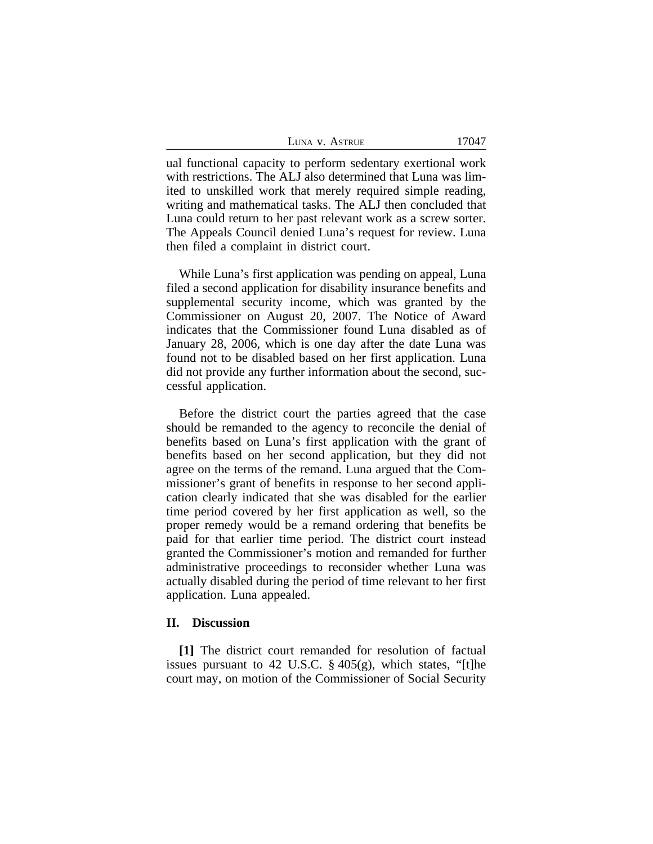| LUNA V. ASTRUE | 17047 |
|----------------|-------|
|----------------|-------|

ual functional capacity to perform sedentary exertional work with restrictions. The ALJ also determined that Luna was limited to unskilled work that merely required simple reading, writing and mathematical tasks. The ALJ then concluded that Luna could return to her past relevant work as a screw sorter. The Appeals Council denied Luna's request for review. Luna then filed a complaint in district court.

While Luna's first application was pending on appeal, Luna filed a second application for disability insurance benefits and supplemental security income, which was granted by the Commissioner on August 20, 2007. The Notice of Award indicates that the Commissioner found Luna disabled as of January 28, 2006, which is one day after the date Luna was found not to be disabled based on her first application. Luna did not provide any further information about the second, successful application.

Before the district court the parties agreed that the case should be remanded to the agency to reconcile the denial of benefits based on Luna's first application with the grant of benefits based on her second application, but they did not agree on the terms of the remand. Luna argued that the Commissioner's grant of benefits in response to her second application clearly indicated that she was disabled for the earlier time period covered by her first application as well, so the proper remedy would be a remand ordering that benefits be paid for that earlier time period. The district court instead granted the Commissioner's motion and remanded for further administrative proceedings to reconsider whether Luna was actually disabled during the period of time relevant to her first application. Luna appealed.

### **II. Discussion**

**[1]** The district court remanded for resolution of factual issues pursuant to 42 U.S.C. § 405(g), which states, "[t]he court may, on motion of the Commissioner of Social Security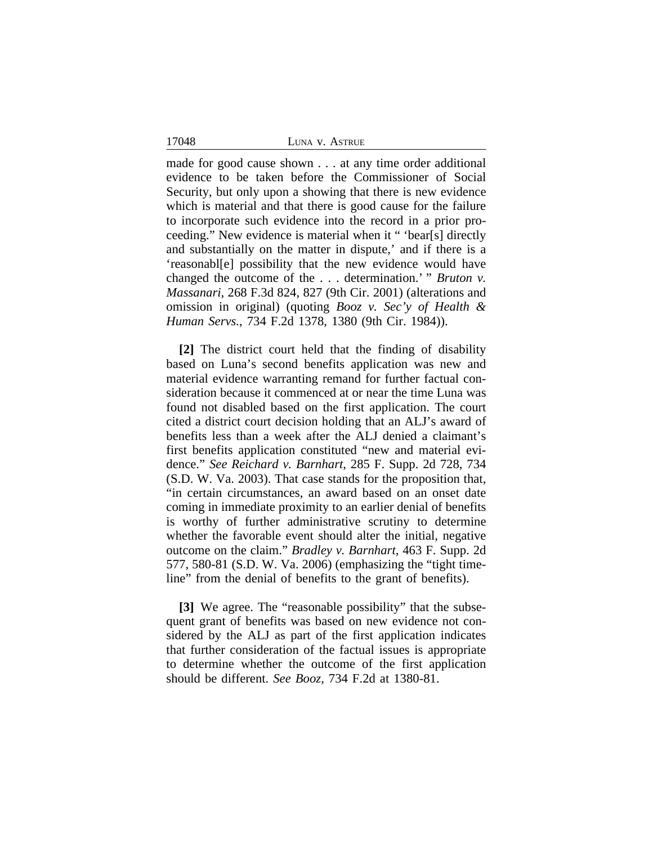17048 LUNA v. ASTRUE

made for good cause shown . . . at any time order additional evidence to be taken before the Commissioner of Social Security, but only upon a showing that there is new evidence which is material and that there is good cause for the failure to incorporate such evidence into the record in a prior proceeding." New evidence is material when it " 'bear[s] directly and substantially on the matter in dispute,' and if there is a 'reasonabl[e] possibility that the new evidence would have changed the outcome of the . . . determination.' " *Bruton v. Massanari*, 268 F.3d 824, 827 (9th Cir. 2001) (alterations and omission in original) (quoting *Booz v. Sec'y of Health & Human Servs.*, 734 F.2d 1378, 1380 (9th Cir. 1984)).

**[2]** The district court held that the finding of disability based on Luna's second benefits application was new and material evidence warranting remand for further factual consideration because it commenced at or near the time Luna was found not disabled based on the first application. The court cited a district court decision holding that an ALJ's award of benefits less than a week after the ALJ denied a claimant's first benefits application constituted "new and material evidence." *See Reichard v. Barnhart*, 285 F. Supp. 2d 728, 734 (S.D. W. Va. 2003). That case stands for the proposition that, "in certain circumstances, an award based on an onset date coming in immediate proximity to an earlier denial of benefits is worthy of further administrative scrutiny to determine whether the favorable event should alter the initial, negative outcome on the claim." *Bradley v. Barnhart*, 463 F. Supp. 2d 577, 580-81 (S.D. W. Va. 2006) (emphasizing the "tight timeline" from the denial of benefits to the grant of benefits).

**[3]** We agree. The "reasonable possibility" that the subsequent grant of benefits was based on new evidence not considered by the ALJ as part of the first application indicates that further consideration of the factual issues is appropriate to determine whether the outcome of the first application should be different. *See Booz*, 734 F.2d at 1380-81.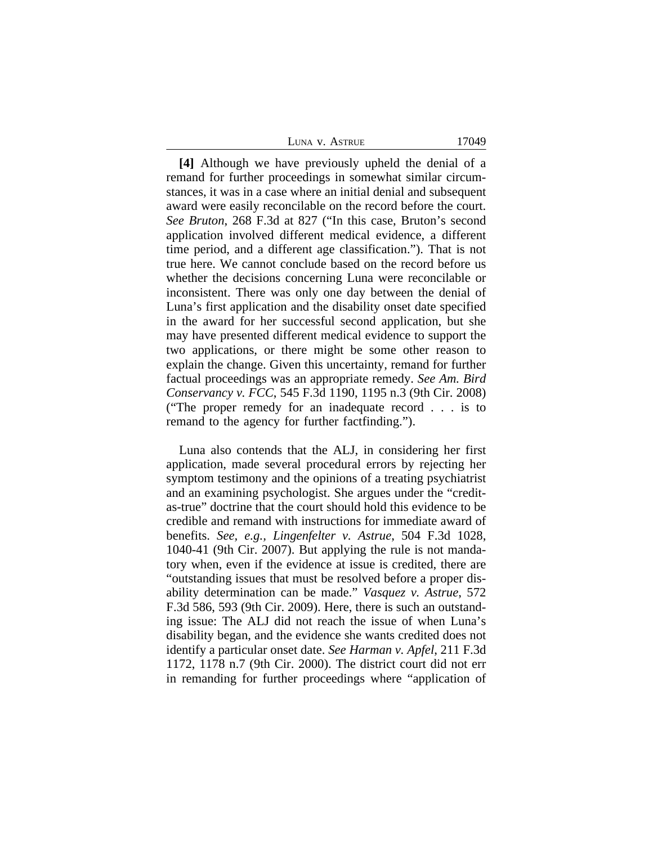| LUNA V. ASTRUE | 17049 |
|----------------|-------|
|----------------|-------|

**[4]** Although we have previously upheld the denial of a remand for further proceedings in somewhat similar circumstances, it was in a case where an initial denial and subsequent award were easily reconcilable on the record before the court. *See Bruton*, 268 F.3d at 827 ("In this case, Bruton's second application involved different medical evidence, a different time period, and a different age classification."). That is not true here. We cannot conclude based on the record before us whether the decisions concerning Luna were reconcilable or inconsistent. There was only one day between the denial of Luna's first application and the disability onset date specified in the award for her successful second application, but she may have presented different medical evidence to support the two applications, or there might be some other reason to explain the change. Given this uncertainty, remand for further factual proceedings was an appropriate remedy. *See Am. Bird Conservancy v. FCC*, 545 F.3d 1190, 1195 n.3 (9th Cir. 2008) ("The proper remedy for an inadequate record . . . is to remand to the agency for further factfinding.").

Luna also contends that the ALJ, in considering her first application, made several procedural errors by rejecting her symptom testimony and the opinions of a treating psychiatrist and an examining psychologist. She argues under the "creditas-true" doctrine that the court should hold this evidence to be credible and remand with instructions for immediate award of benefits. *See, e.g., Lingenfelter v. Astrue*, 504 F.3d 1028, 1040-41 (9th Cir. 2007). But applying the rule is not mandatory when, even if the evidence at issue is credited, there are "outstanding issues that must be resolved before a proper disability determination can be made." *Vasquez v. Astrue*, 572 F.3d 586, 593 (9th Cir. 2009). Here, there is such an outstanding issue: The ALJ did not reach the issue of when Luna's disability began, and the evidence she wants credited does not identify a particular onset date. *See Harman v. Apfel*, 211 F.3d 1172, 1178 n.7 (9th Cir. 2000). The district court did not err in remanding for further proceedings where "application of